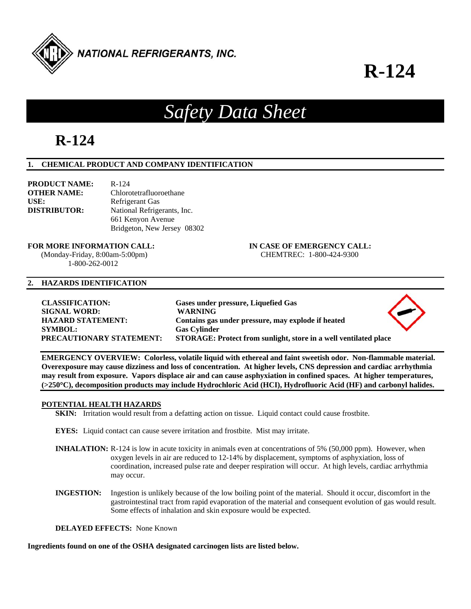

### **R-124**

### *Safety Data Sheet*

### **R-124**

#### **1. CHEMICAL PRODUCT AND COMPANY IDENTIFICATION**

| <b>PRODUCT NAME:</b> | $R - 124$                   |
|----------------------|-----------------------------|
| <b>OTHER NAME:</b>   | Chlorotetrafluoroethane     |
| USE:                 | Refrigerant Gas             |
| <b>DISTRIBUTOR:</b>  | National Refrigerants, Inc. |
|                      | 661 Kenyon Avenue           |
|                      | Bridgeton, New Jersey 08302 |

#### **FOR MORE INFORMATION CALL: IN CASE OF EMERGENCY CALL:**

 (Monday-Friday, 8:00am-5:00pm) CHEMTREC: 1-800-424-9300 1-800-262-0012

### **2. HAZARDS IDENTIFICATION**

**CLASSIFICATION: Gases under pressure, Liquefied Gas SIGNAL WORD: WARNING HAZARD STATEMENT: Contains gas under pressure, may explode if heated SYMBOL: Gas Cylinder PRECAUTIONARY STATEMENT: STORAGE: Protect from sunlight, store in a well ventilated place** 

**EMERGENCY OVERVIEW: Colorless, volatile liquid with ethereal and faint sweetish odor. Non-flammable material. Overexposure may cause dizziness and loss of concentration. At higher levels, CNS depression and cardiac arrhythmia may result from exposure. Vapors displace air and can cause asphyxiation in confined spaces. At higher temperatures, (>250C), decomposition products may include Hydrochloric Acid (HCI), Hydrofluoric Acid (HF) and carbonyl halides.** 

#### **POTENTIAL HEALTH HAZARDS**

**SKIN:** Irritation would result from a defatting action on tissue. Liquid contact could cause frostbite.

**EYES:** Liquid contact can cause severe irritation and frostbite. Mist may irritate.

- **INHALATION:** R-124 is low in acute toxicity in animals even at concentrations of 5% (50,000 ppm). However, when oxygen levels in air are reduced to 12-14% by displacement, symptoms of asphyxiation, loss of coordination, increased pulse rate and deeper respiration will occur. At high levels, cardiac arrhythmia may occur.
- **INGESTION:** Ingestion is unlikely because of the low boiling point of the material. Should it occur, discomfort in the gastrointestinal tract from rapid evaporation of the material and consequent evolution of gas would result. Some effects of inhalation and skin exposure would be expected.

**DELAYED EFFECTS:** None Known

**Ingredients found on one of the OSHA designated carcinogen lists are listed below.**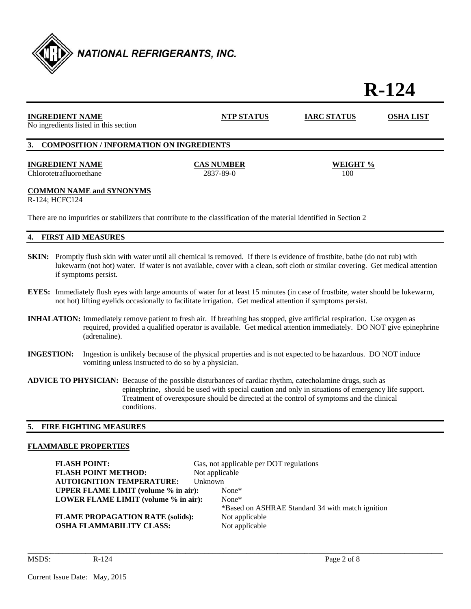

# **R-124**

| <b>INGREDIENT NAME</b><br>No ingredients listed in this section                                                                                                                                                                                                                             | NTP STATUS                     | <b>IARC STATUS</b> | OSHA LIST |  |
|---------------------------------------------------------------------------------------------------------------------------------------------------------------------------------------------------------------------------------------------------------------------------------------------|--------------------------------|--------------------|-----------|--|
| 3. COMPOSITION / INFORMATION ON INGREDIENTS                                                                                                                                                                                                                                                 |                                |                    |           |  |
| <b>INGREDIENT NAME</b><br>Chlorotetrafluoroethane                                                                                                                                                                                                                                           | <b>CAS NUMBER</b><br>2837-89-0 | WEIGHT %<br>100    |           |  |
| <b>COMMON NAME and SYNONYMS</b><br>R-124; HCFC124                                                                                                                                                                                                                                           |                                |                    |           |  |
| There are no impurities or stabilizers that contribute to the classification of the material identified in Section 2                                                                                                                                                                        |                                |                    |           |  |
| <b>FIRST AID MEASURES</b><br>4.                                                                                                                                                                                                                                                             |                                |                    |           |  |
| Promptly flush skin with water until all chemical is removed. If there is evidence of frostbite, bathe (do not rub) with<br>SKIN:<br>lukewarm (not hot) water. If water is not available, cover with a clean, soft cloth or similar covering. Get medical attention<br>if symptoms persist. |                                |                    |           |  |

- **EYES:** Immediately flush eyes with large amounts of water for at least 15 minutes (in case of frostbite, water should be lukewarm, not hot) lifting eyelids occasionally to facilitate irrigation. Get medical attention if symptoms persist.
- **INHALATION:** Immediately remove patient to fresh air. If breathing has stopped, give artificial respiration. Use oxygen as required, provided a qualified operator is available. Get medical attention immediately. DO NOT give epinephrine (adrenaline).
- **INGESTION:** Ingestion is unlikely because of the physical properties and is not expected to be hazardous. DO NOT induce vomiting unless instructed to do so by a physician.
- **ADVICE TO PHYSICIAN:** Because of the possible disturbances of cardiac rhythm, catecholamine drugs, such as epinephrine, should be used with special caution and only in situations of emergency life support. Treatment of overexposure should be directed at the control of symptoms and the clinical conditions.

#### **5. FIRE FIGHTING MEASURES**

#### **FLAMMABLE PROPERTIES**

**FLASH POINT:** Gas, not applicable per DOT regulations **FLASH POINT METHOD:** Not applicable **AUTOIGNITION TEMPERATURE:** Unknown **UPPER FLAME LIMIT (volume % in air):** None\* **LOWER FLAME LIMIT (volume % in air):** None\* \*Based on ASHRAE Standard 34 with match ignition **FLAME PROPAGATION RATE (solids):** Not applicable **OSHA FLAMMABILITY CLASS:** Not applicable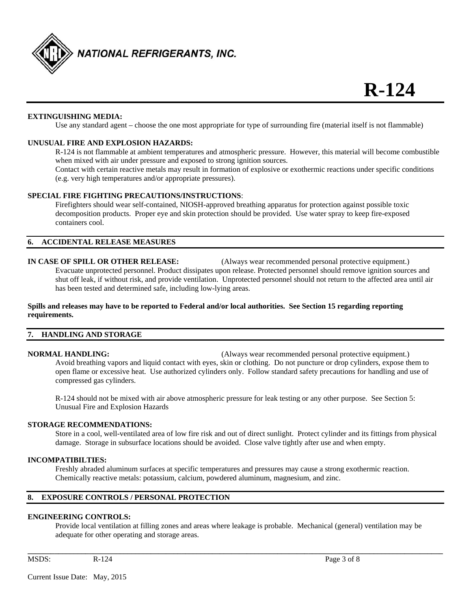

#### **EXTINGUISHING MEDIA:**

Use any standard agent – choose the one most appropriate for type of surrounding fire (material itself is not flammable)

#### **UNUSUAL FIRE AND EXPLOSION HAZARDS:**

 R-124 is not flammable at ambient temperatures and atmospheric pressure. However, this material will become combustible when mixed with air under pressure and exposed to strong ignition sources.

Contact with certain reactive metals may result in formation of explosive or exothermic reactions under specific conditions (e.g. very high temperatures and/or appropriate pressures).

#### **SPECIAL FIRE FIGHTING PRECAUTIONS/INSTRUCTIONS**:

 Firefighters should wear self-contained, NIOSH-approved breathing apparatus for protection against possible toxic decomposition products. Proper eye and skin protection should be provided. Use water spray to keep fire-exposed containers cool.

#### **6. ACCIDENTAL RELEASE MEASURES**

#### **IN CASE OF SPILL OR OTHER RELEASE:** (Always wear recommended personal protective equipment.)

 Evacuate unprotected personnel. Product dissipates upon release. Protected personnel should remove ignition sources and shut off leak, if without risk, and provide ventilation. Unprotected personnel should not return to the affected area until air has been tested and determined safe, including low-lying areas.

#### **Spills and releases may have to be reported to Federal and/or local authorities. See Section 15 regarding reporting requirements.**

#### **7. HANDLING AND STORAGE**

**NORMAL HANDLING:** (Always wear recommended personal protective equipment.) Avoid breathing vapors and liquid contact with eyes, skin or clothing. Do not puncture or drop cylinders, expose them to open flame or excessive heat. Use authorized cylinders only. Follow standard safety precautions for handling and use of compressed gas cylinders.

 R-124 should not be mixed with air above atmospheric pressure for leak testing or any other purpose. See Section 5: Unusual Fire and Explosion Hazards

#### **STORAGE RECOMMENDATIONS:**

 Store in a cool, well-ventilated area of low fire risk and out of direct sunlight. Protect cylinder and its fittings from physical damage. Storage in subsurface locations should be avoided. Close valve tightly after use and when empty.

#### **INCOMPATIBILTIES:**

 Freshly abraded aluminum surfaces at specific temperatures and pressures may cause a strong exothermic reaction. Chemically reactive metals: potassium, calcium, powdered aluminum, magnesium, and zinc.

#### **8. EXPOSURE CONTROLS / PERSONAL PROTECTION**

#### **ENGINEERING CONTROLS:**

 Provide local ventilation at filling zones and areas where leakage is probable. Mechanical (general) ventilation may be adequate for other operating and storage areas.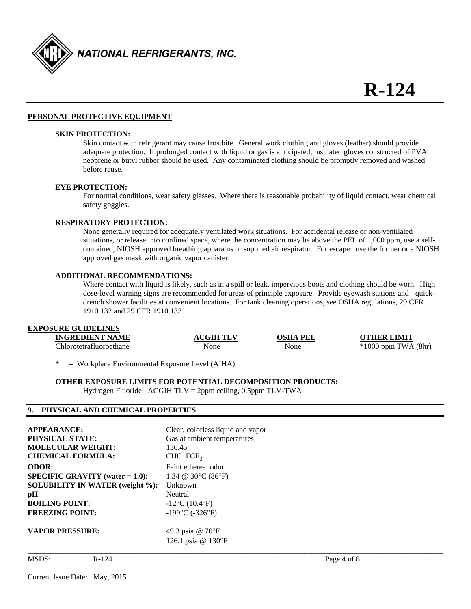

#### **PERSONAL PROTECTIVE EQUIPMENT**

#### **SKIN PROTECTION:**

 Skin contact with refrigerant may cause frostbite. General work clothing and gloves (leather) should provide adequate protection. If prolonged contact with liquid or gas is anticipated, insulated gloves constructed of PVA, neoprene or butyl rubber should be used. Any contaminated clothing should be promptly removed and washed before reuse.

#### **EYE PROTECTION:**

For normal conditions, wear safety glasses. Where there is reasonable probability of liquid contact, wear chemical safety goggles.

#### **RESPIRATORY PROTECTION:**

 None generally required for adequately ventilated work situations. For accidental release or non-ventilated situations, or release into confined space, where the concentration may be above the PEL of 1,000 ppm, use a self contained, NIOSH approved breathing apparatus or supplied air respirator. For escape: use the former or a NIOSH approved gas mask with organic vapor canister.

#### **ADDITIONAL RECOMMENDATIONS:**

Where contact with liquid is likely, such as in a spill or leak, impervious boots and clothing should be worn. High dose-level warning signs are recommended for areas of principle exposure. Provide eyewash stations and quick drench shower facilities at convenient locations. For tank cleaning operations, see OSHA regulations, 29 CFR 1910.132 and 29 CFR 1910.133.

#### **EXPOSURE GUIDELINES**

| <b>INGREDIENT NAME</b>  | <b>ACGIH TLV</b> | <b>OSHA PEL</b> | <b>OTHER LIMIT</b>      |
|-------------------------|------------------|-----------------|-------------------------|
| Chlorotetrafluoroethane | None             | None            | $*1000$ ppm TWA $(8hr)$ |
|                         |                  |                 |                         |

= Workplace Environmental Exposure Level (AIHA)

#### **OTHER EXPOSURE LIMITS FOR POTENTIAL DECOMPOSITION PRODUCTS:**

Hydrogen Fluoride: ACGIH TLV = 2ppm ceiling, 0.5ppm TLV-TWA

#### **9. PHYSICAL AND CHEMICAL PROPERTIES**

| <b>APPEARANCE:</b>                        | Clear, colorless liquid and vapor      |
|-------------------------------------------|----------------------------------------|
| <b>PHYSICAL STATE:</b>                    | Gas at ambient temperatures            |
| <b>MOLECULAR WEIGHT:</b>                  | 136.45                                 |
| <b>CHEMICAL FORMULA:</b>                  | CHCIFCF <sub>3</sub>                   |
| <b>ODOR:</b>                              | Faint ethereal odor                    |
| <b>SPECIFIC GRAVITY</b> (water $= 1.0$ ): | 1.34 @ 30 $\degree$ C (86 $\degree$ F) |
| <b>SOLUBILITY IN WATER (weight %):</b>    | Unknown                                |
| $pH$ :                                    | Neutral                                |
| <b>BOILING POINT:</b>                     | $-12$ °C (10.4°F)                      |
| <b>FREEZING POINT:</b>                    | $-199$ °C ( $-326$ °F)                 |
| <b>VAPOR PRESSURE:</b>                    | 49.3 psia @ 70°F<br>126.1 psia @ 130°F |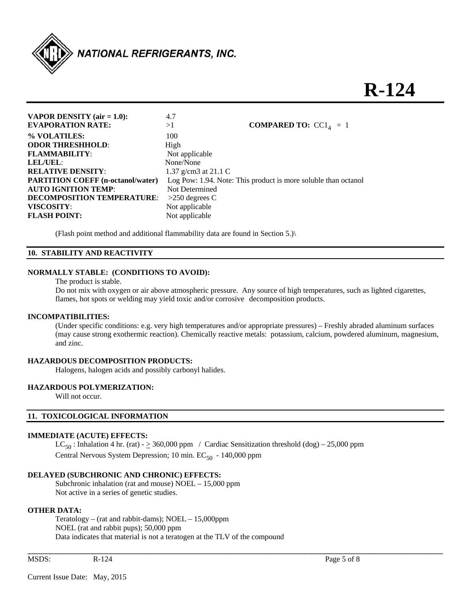

## **R-124**

**VAPOR DENSITY (air = 1.0):** 4.7 **EVAPORATION RATE:**  $>1$  **COMPARED TO:**  $CC1<sub>4</sub> = 1$ **% VOLATILES:** 100 **ODOR THRESHHOLD:** High **FLAMMABILITY:** Not applicable **LEL/UEL**: None/None **RELATIVE DENSITY:** 1.37 g/cm3 at 21.1 C **PARTITION COEFF (n-octanol/water)** Log Pow: 1.94. Note: This product is more soluble than octanol **AUTO IGNITION TEMP:** Not Determined **DECOMPOSITION TEMPERATURE**: >250 degrees C **VISCOSITY**: Not applicable **FLASH POINT:** Not applicable

(Flash point method and additional flammability data are found in Section 5.)\

#### **10. STABILITY AND REACTIVITY**

#### **NORMALLY STABLE: (CONDITIONS TO AVOID):**

The product is stable.

Do not mix with oxygen or air above atmospheric pressure. Any source of high temperatures, such as lighted cigarettes, flames, hot spots or welding may yield toxic and/or corrosive decomposition products.

#### **INCOMPATIBILITIES:**

 (Under specific conditions: e.g. very high temperatures and/or appropriate pressures) – Freshly abraded aluminum surfaces (may cause strong exothermic reaction). Chemically reactive metals: potassium, calcium, powdered aluminum, magnesium, and zinc.

#### **HAZARDOUS DECOMPOSITION PRODUCTS:**

Halogens, halogen acids and possibly carbonyl halides.

#### **HAZARDOUS POLYMERIZATION:**

Will not occur.

#### **11. TOXICOLOGICAL INFORMATION**

#### **IMMEDIATE (ACUTE) EFFECTS:**

 $LC_{50}$ : Inhalation 4 hr. (rat) -  $\geq$  360,000 ppm / Cardiac Sensitization threshold (dog) – 25,000 ppm Central Nervous System Depression; 10 min.  $EC_{50}$  - 140,000 ppm

**\_\_\_\_\_\_\_\_\_\_\_\_\_\_\_\_\_\_\_\_\_\_\_\_\_\_\_\_\_\_\_\_\_\_\_\_\_\_\_\_\_\_\_\_\_\_\_\_\_\_\_\_\_\_\_\_\_\_\_\_\_\_\_\_\_\_\_\_\_\_\_\_\_\_\_\_\_\_\_\_\_\_\_\_\_\_\_\_\_\_\_\_\_\_\_\_\_\_\_\_\_\_\_\_\_\_\_\_** 

#### **DELAYED (SUBCHRONIC AND CHRONIC) EFFECTS:**

 Subchronic inhalation (rat and mouse) NOEL – 15,000 ppm Not active in a series of genetic studies.

#### **OTHER DATA:**

 Teratology – (rat and rabbit-dams); NOEL – 15,000ppm NOEL (rat and rabbit pups); 50,000 ppm Data indicates that material is not a teratogen at the TLV of the compound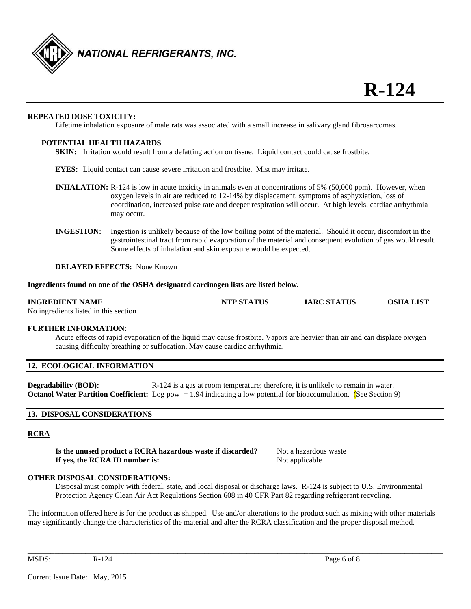

#### **REPEATED DOSE TOXICITY:**

Lifetime inhalation exposure of male rats was associated with a small increase in salivary gland fibrosarcomas.

#### **POTENTIAL HEALTH HAZARDS**

**SKIN:** Irritation would result from a defatting action on tissue. Liquid contact could cause frostbite.

**EYES:** Liquid contact can cause severe irritation and frostbite. Mist may irritate.

- **INHALATION:** R-124 is low in acute toxicity in animals even at concentrations of 5% (50,000 ppm). However, when oxygen levels in air are reduced to 12-14% by displacement, symptoms of asphyxiation, loss of coordination, increased pulse rate and deeper respiration will occur. At high levels, cardiac arrhythmia may occur.
- **INGESTION:** Ingestion is unlikely because of the low boiling point of the material. Should it occur, discomfort in the gastrointestinal tract from rapid evaporation of the material and consequent evolution of gas would result. Some effects of inhalation and skin exposure would be expected.

**DELAYED EFFECTS:** None Known

#### **Ingredients found on one of the OSHA designated carcinogen lists are listed below.**

#### **INGREDIENT NAME NTP STATUS IARC STATUS OSHA LIST**

No ingredients listed in this section

#### **FURTHER INFORMATION**:

Acute effects of rapid evaporation of the liquid may cause frostbite. Vapors are heavier than air and can displace oxygen causing difficulty breathing or suffocation. May cause cardiac arrhythmia.

#### **12. ECOLOGICAL INFORMATION**

**Degradability (BOD):** R-124 is a gas at room temperature; therefore, it is unlikely to remain in water. **Octanol Water Partition Coefficient:** Log pow = 1.94 indicating a low potential for bioaccumulation. (See Section 9)

#### **13. DISPOSAL CONSIDERATIONS**

#### **RCRA**

**Is the unused product a RCRA hazardous waste if discarded?** Not a hazardous waste **If yes, the RCRA ID number is:** Not applicable

**OTHER DISPOSAL CONSIDERATIONS:** 

 Disposal must comply with federal, state, and local disposal or discharge laws. R-124 is subject to U.S. Environmental Protection Agency Clean Air Act Regulations Section 608 in 40 CFR Part 82 regarding refrigerant recycling.

The information offered here is for the product as shipped. Use and/or alterations to the product such as mixing with other materials may significantly change the characteristics of the material and alter the RCRA classification and the proper disposal method.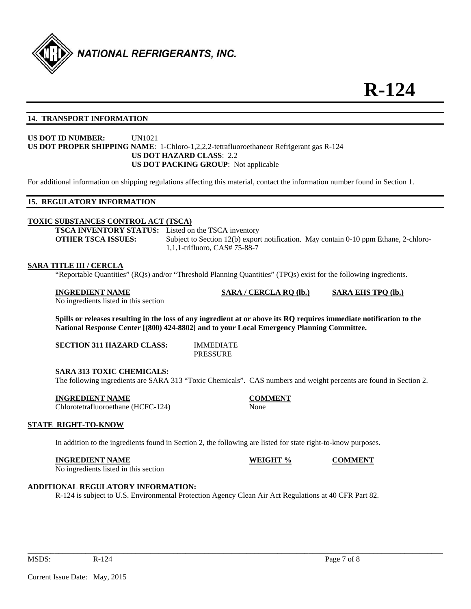

#### **14. TRANSPORT INFORMATION**

#### **US DOT ID NUMBER:** UN1021 **US DOT PROPER SHIPPING NAME**: 1-Chloro-1,2,2,2-tetrafluoroethaneor Refrigerant gas R-124 **US DOT HAZARD CLASS**: 2.2 **US DOT PACKING GROUP**: Not applicable

For additional information on shipping regulations affecting this material, contact the information number found in Section 1.

#### **15. REGULATORY INFORMATION**

#### **TOXIC SUBSTANCES CONTROL ACT (TSCA)**

**TSCA INVENTORY STATUS:** Listed on the TSCA inventory **OTHER TSCA ISSUES:** Subject to Section 12(b) export notification. May contain 0-10 ppm Ethane, 2-chloro-1,1,1-trifluoro, CAS# 75-88-7

#### **SARA TITLE III / CERCLA**

"Reportable Quantities" (RQs) and/or "Threshold Planning Quantities" (TPQs) exist for the following ingredients.

#### **INGREDIENT NAME SARA / CERCLA RQ (lb.) SARA EHS TPQ (lb.)**

No ingredients listed in this section

**Spills or releases resulting in the loss of any ingredient at or above its RQ requires immediate notification to the National Response Center [(800) 424-8802] and to your Local Emergency Planning Committee.** 

**SECTION 311 HAZARD CLASS:** IMMEDIATE

PRESSURE

#### **SARA 313 TOXIC CHEMICALS:**

The following ingredients are SARA 313 "Toxic Chemicals". CAS numbers and weight percents are found in Section 2.

#### **INGREDIENT NAME COMMENT**

Chlorotetrafluoroethane (HCFC-124) None

#### **STATE RIGHT-TO-KNOW**

In addition to the ingredients found in Section 2, the following are listed for state right-to-know purposes.

#### **INGREDIENT NAME WEIGHT % COMMENT**

No ingredients listed in this section

#### **ADDITIONAL REGULATORY INFORMATION:**

R-124 is subject to U.S. Environmental Protection Agency Clean Air Act Regulations at 40 CFR Part 82.